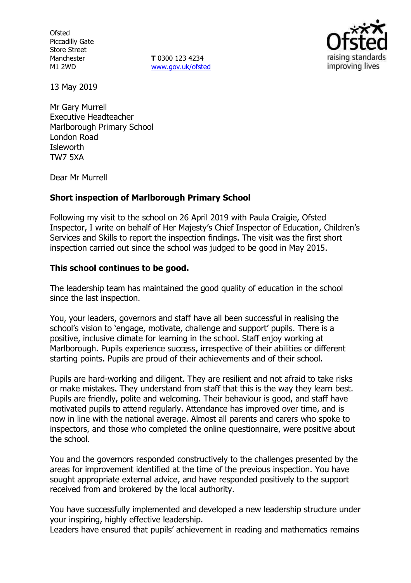**Ofsted** Piccadilly Gate Store Street Manchester M1 2WD

**T** 0300 123 4234 www.gov.uk/ofsted



13 May 2019

Mr Gary Murrell Executive Headteacher Marlborough Primary School London Road **Isleworth** TW7 5XA

Dear Mr Murrell

## **Short inspection of Marlborough Primary School**

Following my visit to the school on 26 April 2019 with Paula Craigie, Ofsted Inspector, I write on behalf of Her Majesty's Chief Inspector of Education, Children's Services and Skills to report the inspection findings. The visit was the first short inspection carried out since the school was judged to be good in May 2015.

## **This school continues to be good.**

The leadership team has maintained the good quality of education in the school since the last inspection.

You, your leaders, governors and staff have all been successful in realising the school's vision to 'engage, motivate, challenge and support' pupils. There is a positive, inclusive climate for learning in the school. Staff enjoy working at Marlborough. Pupils experience success, irrespective of their abilities or different starting points. Pupils are proud of their achievements and of their school.

Pupils are hard-working and diligent. They are resilient and not afraid to take risks or make mistakes. They understand from staff that this is the way they learn best. Pupils are friendly, polite and welcoming. Their behaviour is good, and staff have motivated pupils to attend regularly. Attendance has improved over time, and is now in line with the national average. Almost all parents and carers who spoke to inspectors, and those who completed the online questionnaire, were positive about the school.

You and the governors responded constructively to the challenges presented by the areas for improvement identified at the time of the previous inspection. You have sought appropriate external advice, and have responded positively to the support received from and brokered by the local authority.

You have successfully implemented and developed a new leadership structure under your inspiring, highly effective leadership.

Leaders have ensured that pupils' achievement in reading and mathematics remains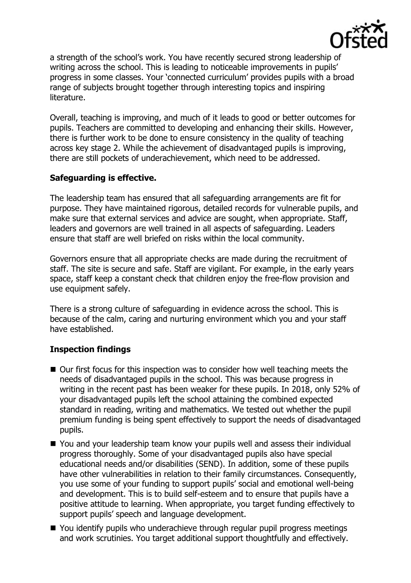

a strength of the school's work. You have recently secured strong leadership of writing across the school. This is leading to noticeable improvements in pupils' progress in some classes. Your 'connected curriculum' provides pupils with a broad range of subjects brought together through interesting topics and inspiring literature.

Overall, teaching is improving, and much of it leads to good or better outcomes for pupils. Teachers are committed to developing and enhancing their skills. However, there is further work to be done to ensure consistency in the quality of teaching across key stage 2. While the achievement of disadvantaged pupils is improving, there are still pockets of underachievement, which need to be addressed.

# **Safeguarding is effective.**

The leadership team has ensured that all safeguarding arrangements are fit for purpose. They have maintained rigorous, detailed records for vulnerable pupils, and make sure that external services and advice are sought, when appropriate. Staff, leaders and governors are well trained in all aspects of safeguarding. Leaders ensure that staff are well briefed on risks within the local community.

Governors ensure that all appropriate checks are made during the recruitment of staff. The site is secure and safe. Staff are vigilant. For example, in the early years space, staff keep a constant check that children enjoy the free-flow provision and use equipment safely.

There is a strong culture of safeguarding in evidence across the school. This is because of the calm, caring and nurturing environment which you and your staff have established.

# **Inspection findings**

- Our first focus for this inspection was to consider how well teaching meets the needs of disadvantaged pupils in the school. This was because progress in writing in the recent past has been weaker for these pupils. In 2018, only 52% of your disadvantaged pupils left the school attaining the combined expected standard in reading, writing and mathematics. We tested out whether the pupil premium funding is being spent effectively to support the needs of disadvantaged pupils.
- You and your leadership team know your pupils well and assess their individual progress thoroughly. Some of your disadvantaged pupils also have special educational needs and/or disabilities (SEND). In addition, some of these pupils have other vulnerabilities in relation to their family circumstances. Consequently, you use some of your funding to support pupils' social and emotional well-being and development. This is to build self-esteem and to ensure that pupils have a positive attitude to learning. When appropriate, you target funding effectively to support pupils' speech and language development.
- You identify pupils who underachieve through regular pupil progress meetings and work scrutinies. You target additional support thoughtfully and effectively.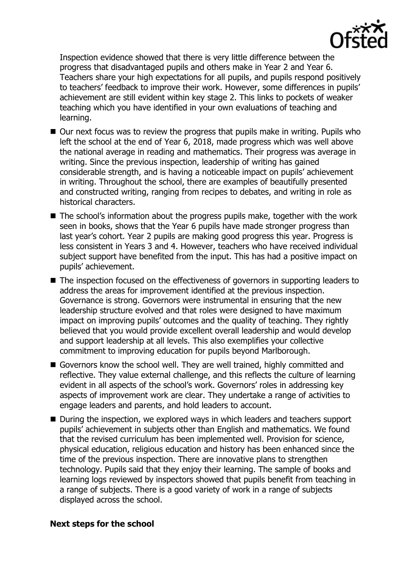

Inspection evidence showed that there is very little difference between the progress that disadvantaged pupils and others make in Year 2 and Year 6. Teachers share your high expectations for all pupils, and pupils respond positively to teachers' feedback to improve their work. However, some differences in pupils' achievement are still evident within key stage 2. This links to pockets of weaker teaching which you have identified in your own evaluations of teaching and learning.

- $\blacksquare$  Our next focus was to review the progress that pupils make in writing. Pupils who left the school at the end of Year 6, 2018, made progress which was well above the national average in reading and mathematics. Their progress was average in writing. Since the previous inspection, leadership of writing has gained considerable strength, and is having a noticeable impact on pupils' achievement in writing. Throughout the school, there are examples of beautifully presented and constructed writing, ranging from recipes to debates, and writing in role as historical characters.
- The school's information about the progress pupils make, together with the work seen in books, shows that the Year 6 pupils have made stronger progress than last year's cohort. Year 2 pupils are making good progress this year. Progress is less consistent in Years 3 and 4. However, teachers who have received individual subject support have benefited from the input. This has had a positive impact on pupils' achievement.
- The inspection focused on the effectiveness of governors in supporting leaders to address the areas for improvement identified at the previous inspection. Governance is strong. Governors were instrumental in ensuring that the new leadership structure evolved and that roles were designed to have maximum impact on improving pupils' outcomes and the quality of teaching. They rightly believed that you would provide excellent overall leadership and would develop and support leadership at all levels. This also exemplifies your collective commitment to improving education for pupils beyond Marlborough.
- Governors know the school well. They are well trained, highly committed and reflective. They value external challenge, and this reflects the culture of learning evident in all aspects of the school's work. Governors' roles in addressing key aspects of improvement work are clear. They undertake a range of activities to engage leaders and parents, and hold leaders to account.
- During the inspection, we explored ways in which leaders and teachers support pupils' achievement in subjects other than English and mathematics. We found that the revised curriculum has been implemented well. Provision for science, physical education, religious education and history has been enhanced since the time of the previous inspection. There are innovative plans to strengthen technology. Pupils said that they enjoy their learning. The sample of books and learning logs reviewed by inspectors showed that pupils benefit from teaching in a range of subjects. There is a good variety of work in a range of subjects displayed across the school.

#### **Next steps for the school**